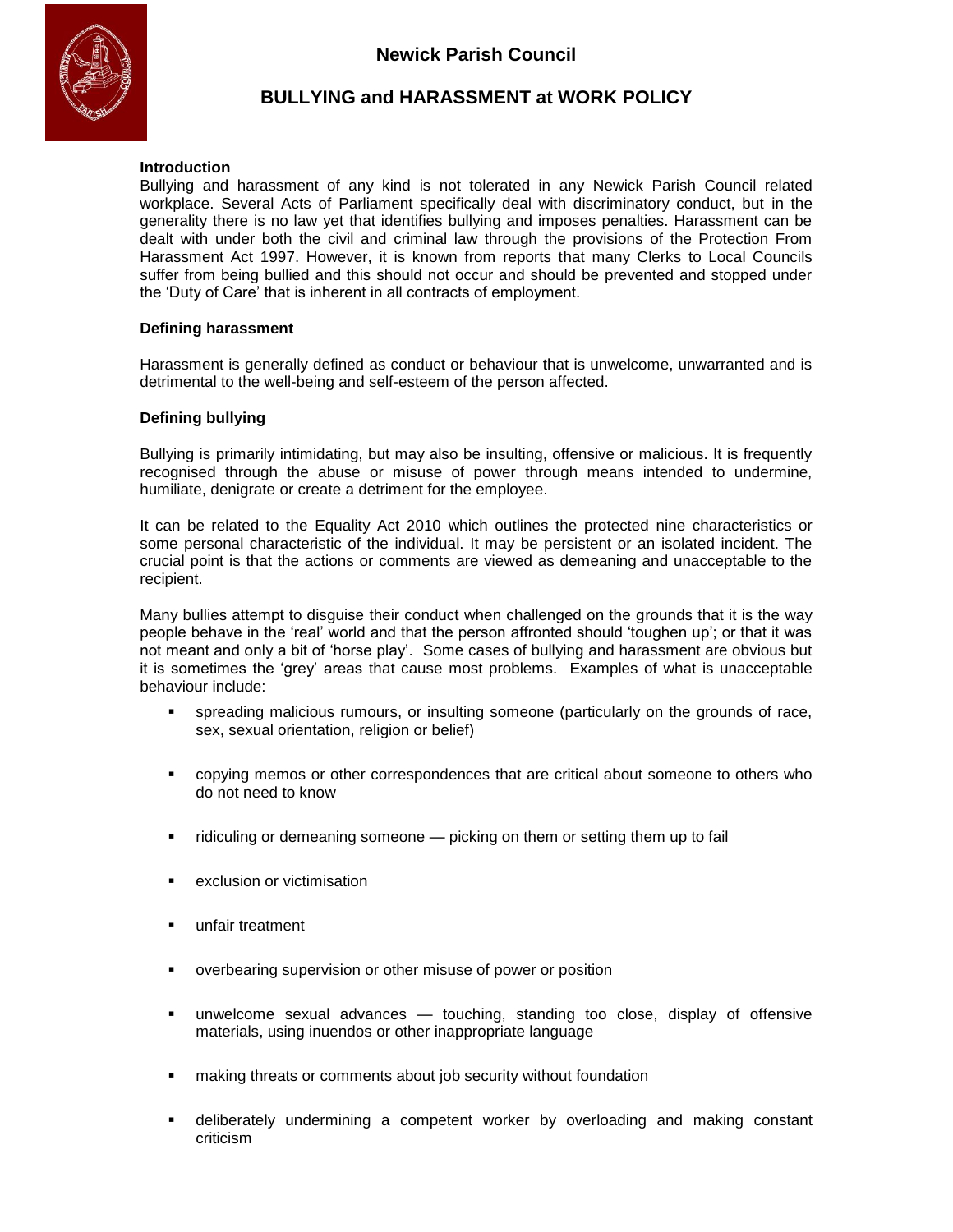

# **BULLYING and HARASSMENT at WORK POLICY**

# **Introduction**

Bullying and harassment of any kind is not tolerated in any Newick Parish Council related workplace. Several Acts of Parliament specifically deal with discriminatory conduct, but in the generality there is no law yet that identifies bullying and imposes penalties. Harassment can be dealt with under both the civil and criminal law through the provisions of the Protection From Harassment Act 1997. However, it is known from reports that many Clerks to Local Councils suffer from being bullied and this should not occur and should be prevented and stopped under the 'Duty of Care' that is inherent in all contracts of employment.

## **Defining harassment**

Harassment is generally defined as conduct or behaviour that is unwelcome, unwarranted and is detrimental to the well-being and self-esteem of the person affected.

# **Defining bullying**

Bullying is primarily intimidating, but may also be insulting, offensive or malicious. It is frequently recognised through the abuse or misuse of power through means intended to undermine, humiliate, denigrate or create a detriment for the employee.

It can be related to the Equality Act 2010 which outlines the protected nine characteristics or some personal characteristic of the individual. It may be persistent or an isolated incident. The crucial point is that the actions or comments are viewed as demeaning and unacceptable to the recipient.

Many bullies attempt to disguise their conduct when challenged on the grounds that it is the way people behave in the 'real' world and that the person affronted should 'toughen up'; or that it was not meant and only a bit of 'horse play'. Some cases of bullying and harassment are obvious but it is sometimes the 'grey' areas that cause most problems. Examples of what is unacceptable behaviour include:

- spreading malicious rumours, or insulting someone (particularly on the grounds of race, sex, sexual orientation, religion or belief)
- copying memos or other correspondences that are critical about someone to others who do not need to know
- ridiculing or demeaning someone picking on them or setting them up to fail
- **EXPLUMION CONTENT**
- **unfair treatment**
- overbearing supervision or other misuse of power or position
- unwelcome sexual advances touching, standing too close, display of offensive materials, using inuendos or other inappropriate language
- **EXECT** making threats or comments about job security without foundation
- deliberately undermining a competent worker by overloading and making constant criticism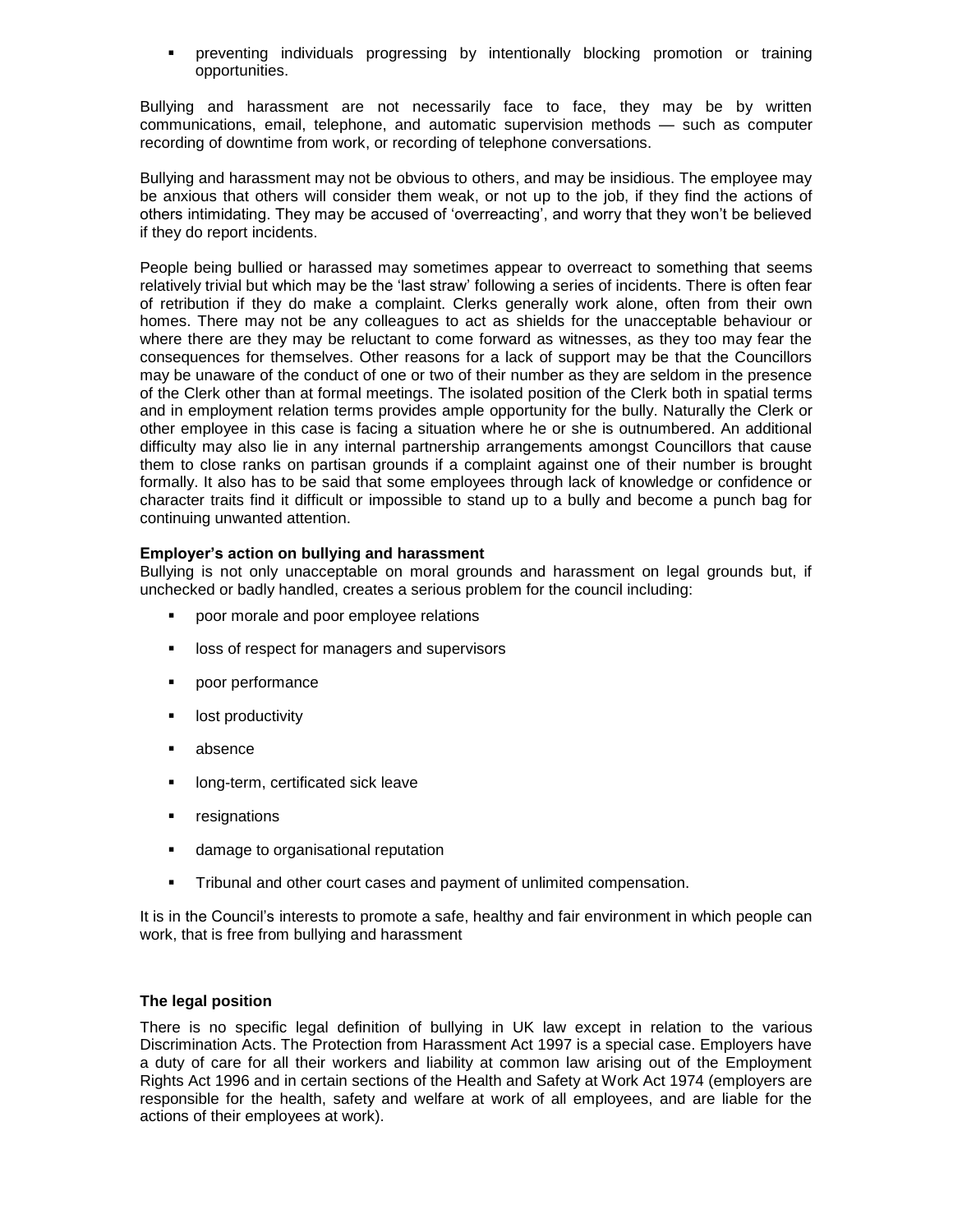preventing individuals progressing by intentionally blocking promotion or training opportunities.

Bullying and harassment are not necessarily face to face, they may be by written communications, email, telephone, and automatic supervision methods — such as computer recording of downtime from work, or recording of telephone conversations.

Bullying and harassment may not be obvious to others, and may be insidious. The employee may be anxious that others will consider them weak, or not up to the job, if they find the actions of others intimidating. They may be accused of 'overreacting', and worry that they won't be believed if they do report incidents.

People being bullied or harassed may sometimes appear to overreact to something that seems relatively trivial but which may be the 'last straw' following a series of incidents. There is often fear of retribution if they do make a complaint. Clerks generally work alone, often from their own homes. There may not be any colleagues to act as shields for the unacceptable behaviour or where there are they may be reluctant to come forward as witnesses, as they too may fear the consequences for themselves. Other reasons for a lack of support may be that the Councillors may be unaware of the conduct of one or two of their number as they are seldom in the presence of the Clerk other than at formal meetings. The isolated position of the Clerk both in spatial terms and in employment relation terms provides ample opportunity for the bully. Naturally the Clerk or other employee in this case is facing a situation where he or she is outnumbered. An additional difficulty may also lie in any internal partnership arrangements amongst Councillors that cause them to close ranks on partisan grounds if a complaint against one of their number is brought formally. It also has to be said that some employees through lack of knowledge or confidence or character traits find it difficult or impossible to stand up to a bully and become a punch bag for continuing unwanted attention.

# **Employer's action on bullying and harassment**

Bullying is not only unacceptable on moral grounds and harassment on legal grounds but, if unchecked or badly handled, creates a serious problem for the council including:

- **•** poor morale and poor employee relations
- **IDOSS** of respect for managers and supervisors
- poor performance
- **I** lost productivity
- absence
- **If** long-term, certificated sick leave
- **resignations**
- **damage to organisational reputation**
- Tribunal and other court cases and payment of unlimited compensation.

It is in the Council's interests to promote a safe, healthy and fair environment in which people can work, that is free from bullying and harassment

## **The legal position**

There is no specific legal definition of bullying in UK law except in relation to the various Discrimination Acts. The Protection from Harassment Act 1997 is a special case. Employers have a duty of care for all their workers and liability at common law arising out of the Employment Rights Act 1996 and in certain sections of the Health and Safety at Work Act 1974 (employers are responsible for the health, safety and welfare at work of all employees, and are liable for the actions of their employees at work).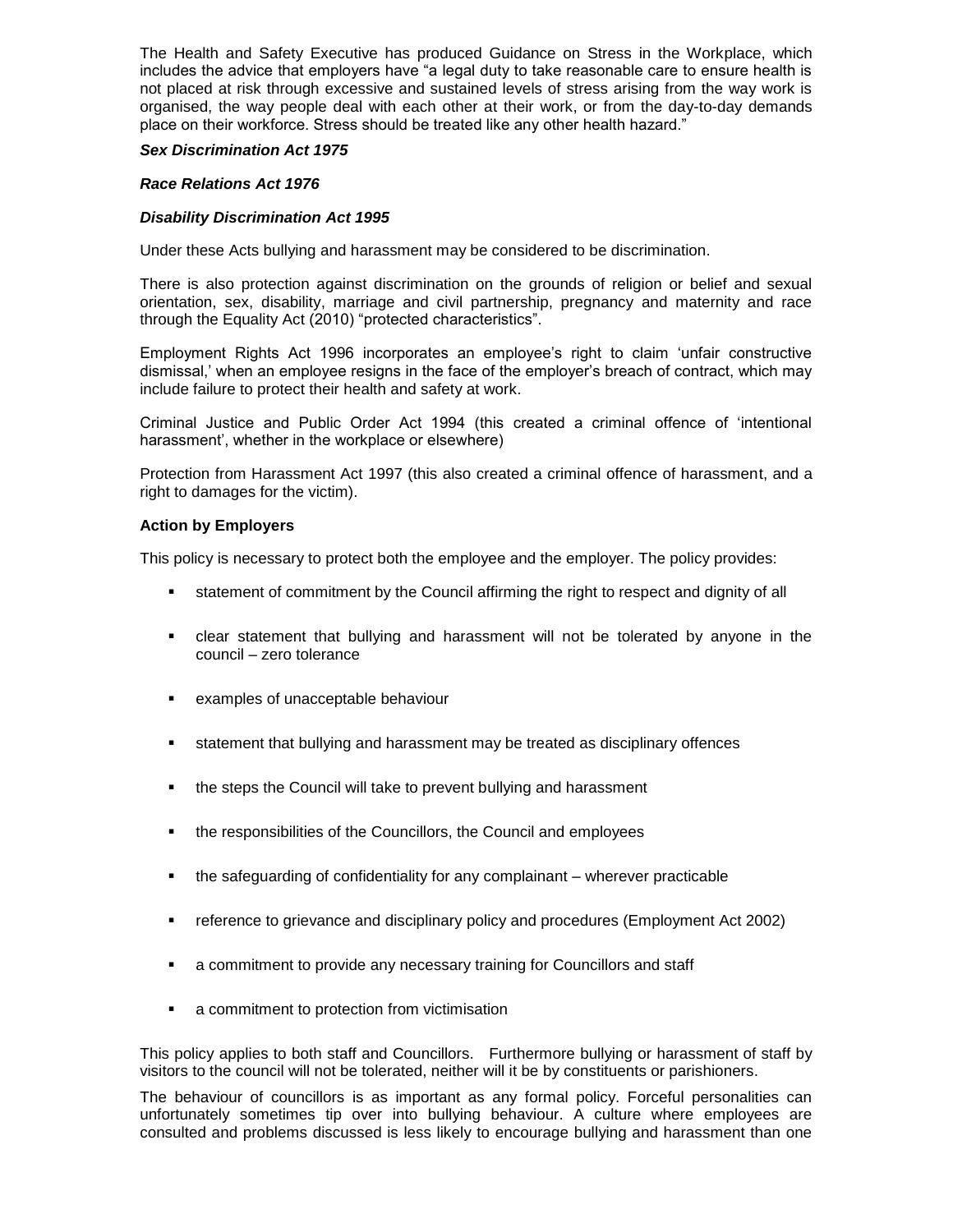The Health and Safety Executive has produced Guidance on Stress in the Workplace, which includes the advice that employers have "a legal duty to take reasonable care to ensure health is not placed at risk through excessive and sustained levels of stress arising from the way work is organised, the way people deal with each other at their work, or from the day-to-day demands place on their workforce. Stress should be treated like any other health hazard."

#### *Sex Discrimination Act 1975*

#### *Race Relations Act 1976*

#### *Disability Discrimination Act 1995*

Under these Acts bullying and harassment may be considered to be discrimination.

There is also protection against discrimination on the grounds of religion or belief and sexual orientation, sex, disability, marriage and civil partnership, pregnancy and maternity and race through the Equality Act (2010) "protected characteristics".

Employment Rights Act 1996 incorporates an employee's right to claim 'unfair constructive dismissal,' when an employee resigns in the face of the employer's breach of contract, which may include failure to protect their health and safety at work.

Criminal Justice and Public Order Act 1994 (this created a criminal offence of 'intentional harassment', whether in the workplace or elsewhere)

Protection from Harassment Act 1997 (this also created a criminal offence of harassment, and a right to damages for the victim).

#### **Action by Employers**

This policy is necessary to protect both the employee and the employer. The policy provides:

- statement of commitment by the Council affirming the right to respect and dignity of all
- clear statement that bullying and harassment will not be tolerated by anyone in the council – zero tolerance
- examples of unacceptable behaviour
- statement that bullying and harassment may be treated as disciplinary offences
- **the steps the Council will take to prevent bullying and harassment**
- **the responsibilities of the Councillors, the Council and employees**
- the safeguarding of confidentiality for any complainant wherever practicable
- reference to grievance and disciplinary policy and procedures (Employment Act 2002)
- a commitment to provide any necessary training for Councillors and staff
- a commitment to protection from victimisation

This policy applies to both staff and Councillors. Furthermore bullying or harassment of staff by visitors to the council will not be tolerated, neither will it be by constituents or parishioners.

The behaviour of councillors is as important as any formal policy. Forceful personalities can unfortunately sometimes tip over into bullying behaviour. A culture where employees are consulted and problems discussed is less likely to encourage bullying and harassment than one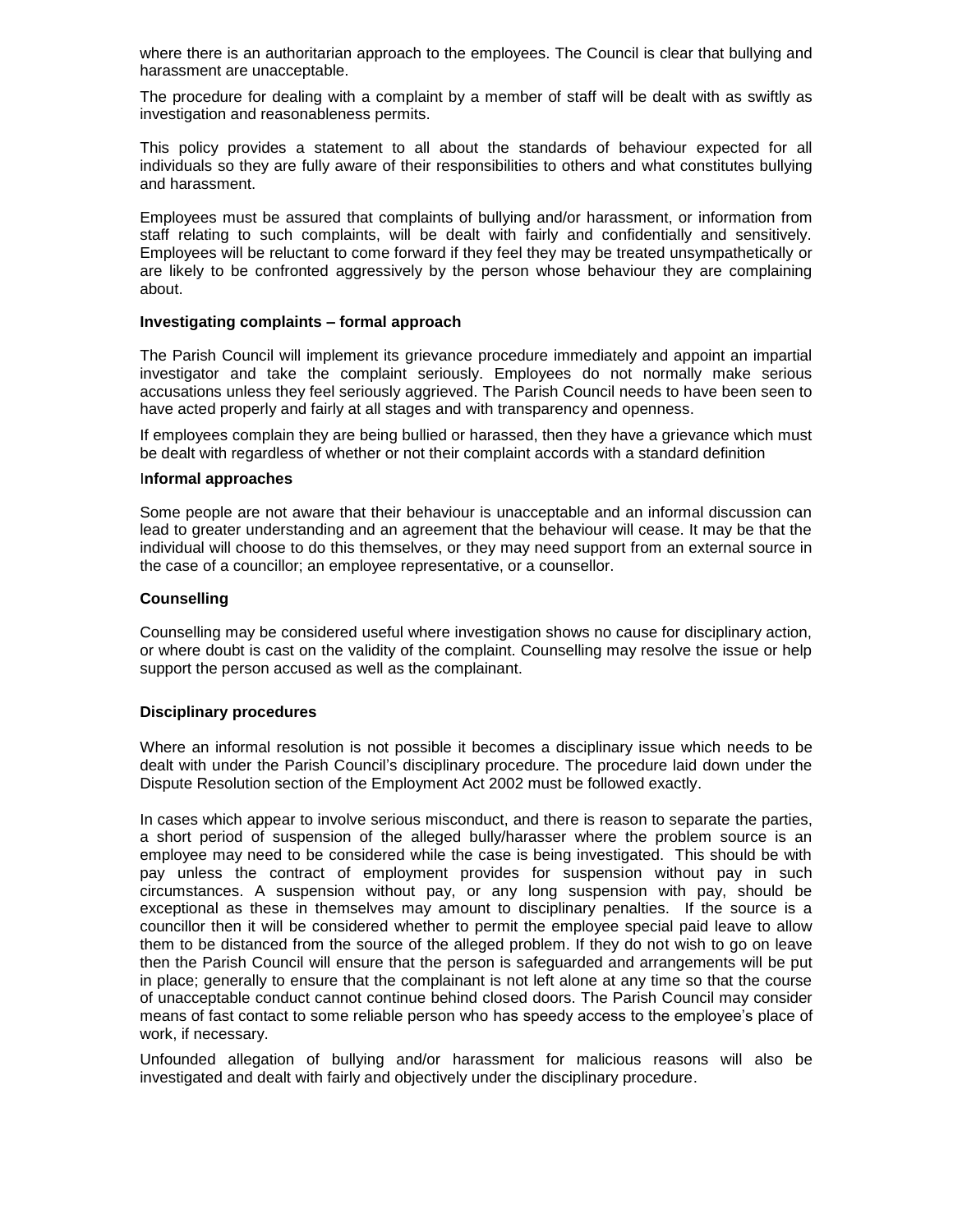where there is an authoritarian approach to the employees. The Council is clear that bullying and harassment are unacceptable.

The procedure for dealing with a complaint by a member of staff will be dealt with as swiftly as investigation and reasonableness permits.

This policy provides a statement to all about the standards of behaviour expected for all individuals so they are fully aware of their responsibilities to others and what constitutes bullying and harassment.

Employees must be assured that complaints of bullying and/or harassment, or information from staff relating to such complaints, will be dealt with fairly and confidentially and sensitively. Employees will be reluctant to come forward if they feel they may be treated unsympathetically or are likely to be confronted aggressively by the person whose behaviour they are complaining about.

#### **Investigating complaints – formal approach**

The Parish Council will implement its grievance procedure immediately and appoint an impartial investigator and take the complaint seriously. Employees do not normally make serious accusations unless they feel seriously aggrieved. The Parish Council needs to have been seen to have acted properly and fairly at all stages and with transparency and openness.

If employees complain they are being bullied or harassed, then they have a grievance which must be dealt with regardless of whether or not their complaint accords with a standard definition

#### I**nformal approaches**

Some people are not aware that their behaviour is unacceptable and an informal discussion can lead to greater understanding and an agreement that the behaviour will cease. It may be that the individual will choose to do this themselves, or they may need support from an external source in the case of a councillor; an employee representative, or a counsellor.

#### **Counselling**

Counselling may be considered useful where investigation shows no cause for disciplinary action, or where doubt is cast on the validity of the complaint. Counselling may resolve the issue or help support the person accused as well as the complainant.

## **Disciplinary procedures**

Where an informal resolution is not possible it becomes a disciplinary issue which needs to be dealt with under the Parish Council's disciplinary procedure. The procedure laid down under the Dispute Resolution section of the Employment Act 2002 must be followed exactly.

In cases which appear to involve serious misconduct, and there is reason to separate the parties, a short period of suspension of the alleged bully/harasser where the problem source is an employee may need to be considered while the case is being investigated. This should be with pay unless the contract of employment provides for suspension without pay in such circumstances. A suspension without pay, or any long suspension with pay, should be exceptional as these in themselves may amount to disciplinary penalties. If the source is a councillor then it will be considered whether to permit the employee special paid leave to allow them to be distanced from the source of the alleged problem. If they do not wish to go on leave then the Parish Council will ensure that the person is safeguarded and arrangements will be put in place; generally to ensure that the complainant is not left alone at any time so that the course of unacceptable conduct cannot continue behind closed doors. The Parish Council may consider means of fast contact to some reliable person who has speedy access to the employee's place of work, if necessary.

Unfounded allegation of bullying and/or harassment for malicious reasons will also be investigated and dealt with fairly and objectively under the disciplinary procedure.